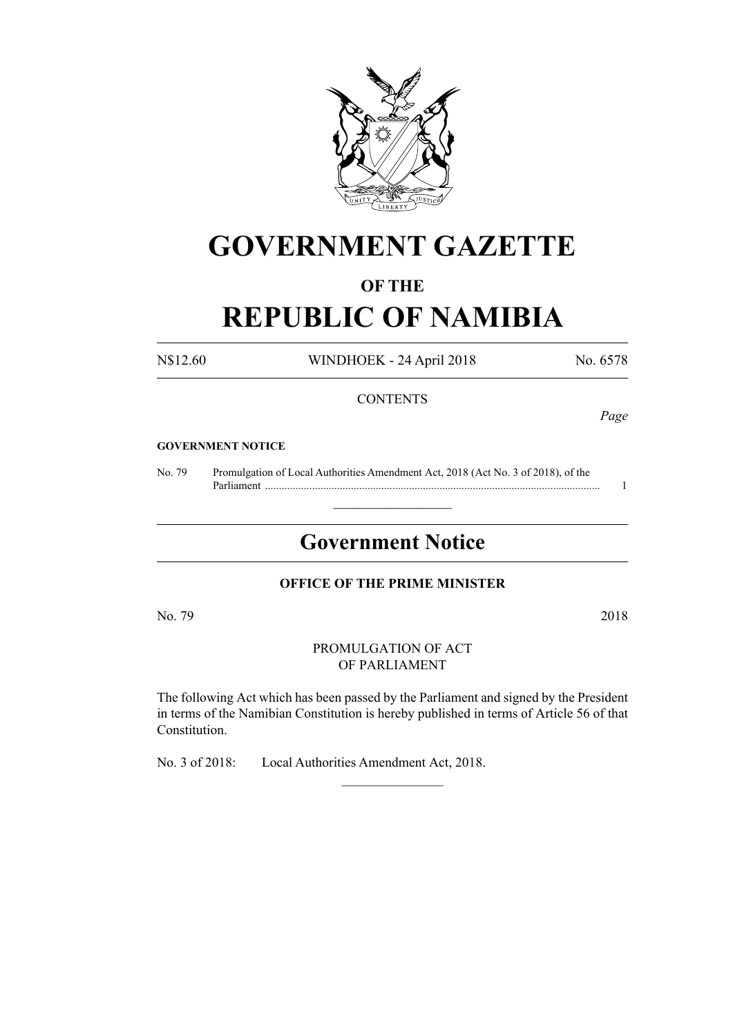

# **GOVERNMENT GAZETTE**

### **OF THE**

# **REPUBLIC OF NAMIBIA**

N\$12.60 WINDHOEK - 24 April 2018 No. 6578

#### **CONTENTS**

*Page*

#### **GOVERNMENT NOTICE**

No. 79 Promulgation of Local Authorities Amendment Act, 2018 (Act No. 3 of 2018), of the Parliament ......................................................................................................................... 1

## **Government Notice**

 $\frac{1}{2}$  ,  $\frac{1}{2}$  ,  $\frac{1}{2}$  ,  $\frac{1}{2}$  ,  $\frac{1}{2}$  ,  $\frac{1}{2}$  ,  $\frac{1}{2}$ 

#### **OFFICE OF THE PRIME MINISTER**

No. 79 2018

PROMULGATION OF ACT OF PARLIAMENT

The following Act which has been passed by the Parliament and signed by the President in terms of the Namibian Constitution is hereby published in terms of Article 56 of that Constitution.

 $\frac{1}{2}$ 

No. 3 of 2018: Local Authorities Amendment Act, 2018.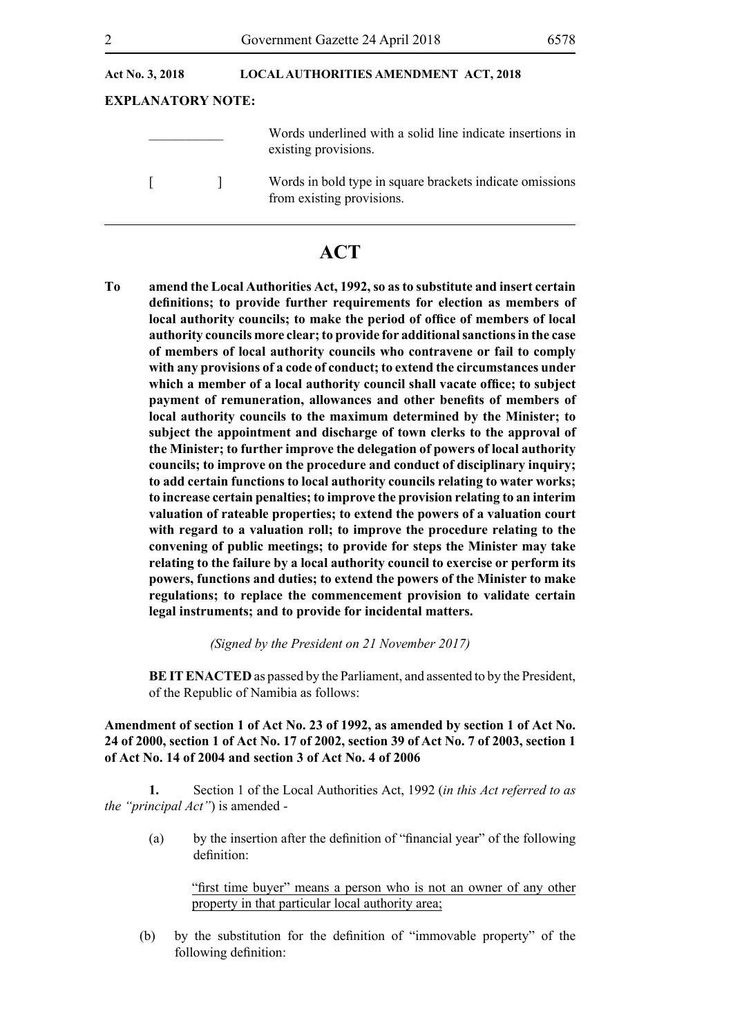| Act No. 3, 2018          |  | <b>LOCAL AUTHORITIES AMENDMENT ACT, 2018</b>                                          |  |
|--------------------------|--|---------------------------------------------------------------------------------------|--|
| <b>EXPLANATORY NOTE:</b> |  |                                                                                       |  |
|                          |  | Words underlined with a solid line indicate insertions in<br>existing provisions.     |  |
|                          |  | Words in bold type in square brackets indicate omissions<br>from existing provisions. |  |

### **ACT**

**To amend the Local Authorities Act, 1992, so as to substitute and insert certain definitions; to provide further requirements for election as members of local authority councils; to make the period of office of members of local authority councils more clear; to provide for additional sanctions in the case of members of local authority councils who contravene or fail to comply with any provisions of a code of conduct; to extend the circumstances under which a member of a local authority council shall vacate office; to subject payment of remuneration, allowances and other benefits of members of local authority councils to the maximum determined by the Minister; to subject the appointment and discharge of town clerks to the approval of the Minister; to further improve the delegation of powers of local authority councils; to improve on the procedure and conduct of disciplinary inquiry; to add certain functions to local authority councils relating to water works; to increase certain penalties; to improve the provision relating to an interim valuation of rateable properties; to extend the powers of a valuation court with regard to a valuation roll; to improve the procedure relating to the convening of public meetings; to provide for steps the Minister may take relating to the failure by a local authority council to exercise or perform its powers, functions and duties; to extend the powers of the Minister to make regulations; to replace the commencement provision to validate certain legal instruments; and to provide for incidental matters.**

*(Signed by the President on 21 November 2017)*

**BE IT ENACTED** as passed by the Parliament, and assented to by the President, of the Republic of Namibia as follows:

**Amendment of section 1 of Act No. 23 of 1992, as amended by section 1 of Act No. 24 of 2000, section 1 of Act No. 17 of 2002, section 39 of Act No. 7 of 2003, section 1 of Act No. 14 of 2004 and section 3 of Act No. 4 of 2006**

**1.** Section 1 of the Local Authorities Act, 1992 (*in this Act referred to as the "principal Act"*) is amended -

(a) by the insertion after the definition of "financial year" of the following definition:

"first time buyer" means a person who is not an owner of any other property in that particular local authority area;

(b) by the substitution for the definition of "immovable property" of the following definition: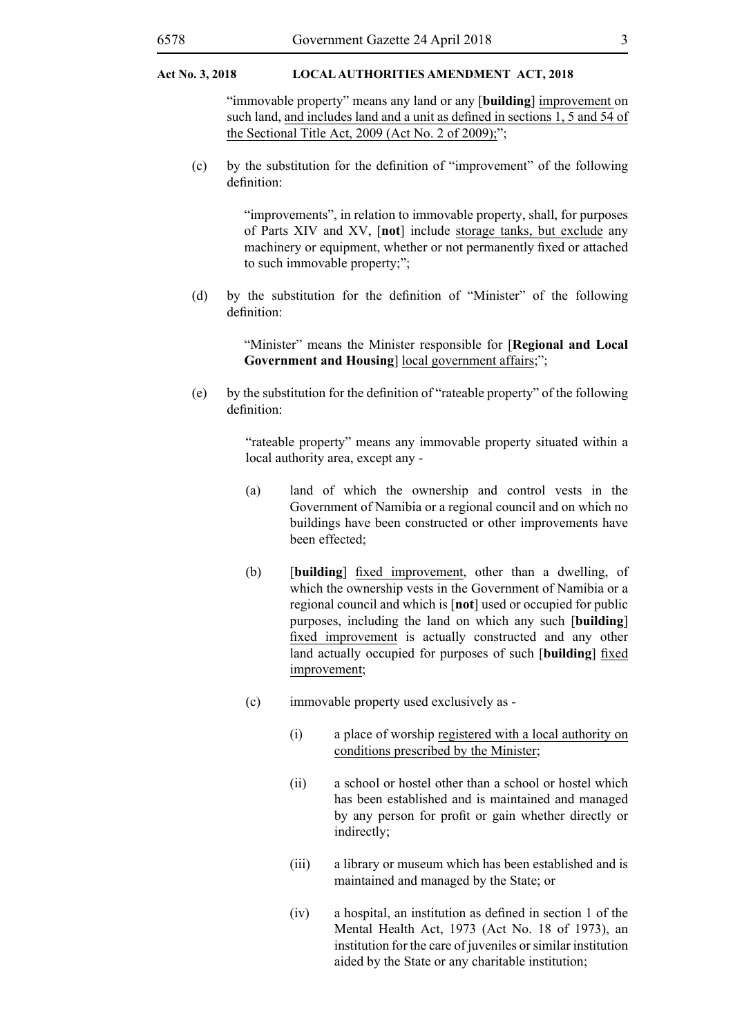"immovable property" means any land or any [**building**] improvement on such land, and includes land and a unit as defined in sections 1, 5 and 54 of the Sectional Title Act,  $2009$  (Act No. 2 of  $2009$ );";

(c) by the substitution for the definition of "improvement" of the following definition:

> "improvements", in relation to immovable property, shall, for purposes of Parts XIV and XV, [**not**] include storage tanks, but exclude any machinery or equipment, whether or not permanently fixed or attached to such immovable property;";

(d) by the substitution for the definition of "Minister" of the following definition:

> "Minister" means the Minister responsible for [**Regional and Local Government and Housing**] local government affairs;";

(e) by the substitution for the definition of "rateable property" of the following definition:

> "rateable property" means any immovable property situated within a local authority area, except any -

- (a) land of which the ownership and control vests in the Government of Namibia or a regional council and on which no buildings have been constructed or other improvements have been effected;
- (b) [**building**] fixed improvement, other than a dwelling, of which the ownership vests in the Government of Namibia or a regional council and which is [**not**] used or occupied for public purposes, including the land on which any such [**building**] fixed improvement is actually constructed and any other land actually occupied for purposes of such [**building**] fixed improvement;
- (c) immovable property used exclusively as
	- (i) a place of worship registered with a local authority on conditions prescribed by the Minister;
	- (ii) a school or hostel other than a school or hostel which has been established and is maintained and managed by any person for profit or gain whether directly or indirectly;
	- (iii) a library or museum which has been established and is maintained and managed by the State; or
	- (iv) a hospital, an institution as defined in section 1 of the Mental Health Act, 1973 (Act No. 18 of 1973), an institution for the care of juveniles or similar institution aided by the State or any charitable institution;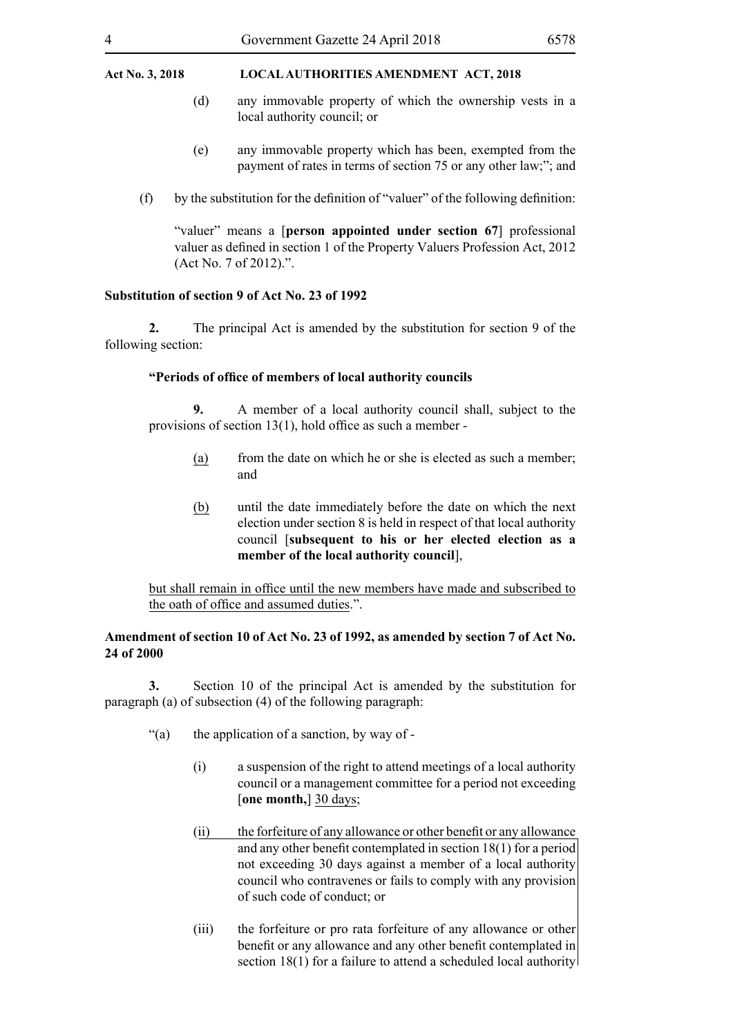- (d) any immovable property of which the ownership vests in a local authority council; or
- (e) any immovable property which has been, exempted from the payment of rates in terms of section 75 or any other law;"; and
- (f) by the substitution for the definition of "valuer" of the following definition:

"valuer" means a [**person appointed under section 67**] professional valuer as defined in section 1 of the Property Valuers Profession Act, 2012 (Act No. 7 of 2012).".

#### **Substitution of section 9 of Act No. 23 of 1992**

**2.** The principal Act is amended by the substitution for section 9 of the following section:

#### **"Periods of office of members of local authority councils**

**9.** A member of a local authority council shall, subject to the provisions of section 13(1), hold office as such a member -

- (a) from the date on which he or she is elected as such a member; and
- (b) until the date immediately before the date on which the next election under section 8 is held in respect of that local authority council [**subsequent to his or her elected election as a member of the local authority council**],

but shall remain in office until the new members have made and subscribed to the oath of office and assumed duties.".

#### **Amendment of section 10 of Act No. 23 of 1992, as amended by section 7 of Act No. 24 of 2000**

**3.** Section 10 of the principal Act is amended by the substitution for paragraph (a) of subsection (4) of the following paragraph:

- "(a) the application of a sanction, by way of -
	- (i) a suspension of the right to attend meetings of a local authority council or a management committee for a period not exceeding [**one month,**] 30 days;
	- (ii) the forfeiture of any allowance or other benefit or any allowance and any other benefit contemplated in section 18(1) for a period not exceeding 30 days against a member of a local authority council who contravenes or fails to comply with any provision of such code of conduct; or
	- (iii) the forfeiture or pro rata forfeiture of any allowance or other benefit or any allowance and any other benefit contemplated in section 18(1) for a failure to attend a scheduled local authority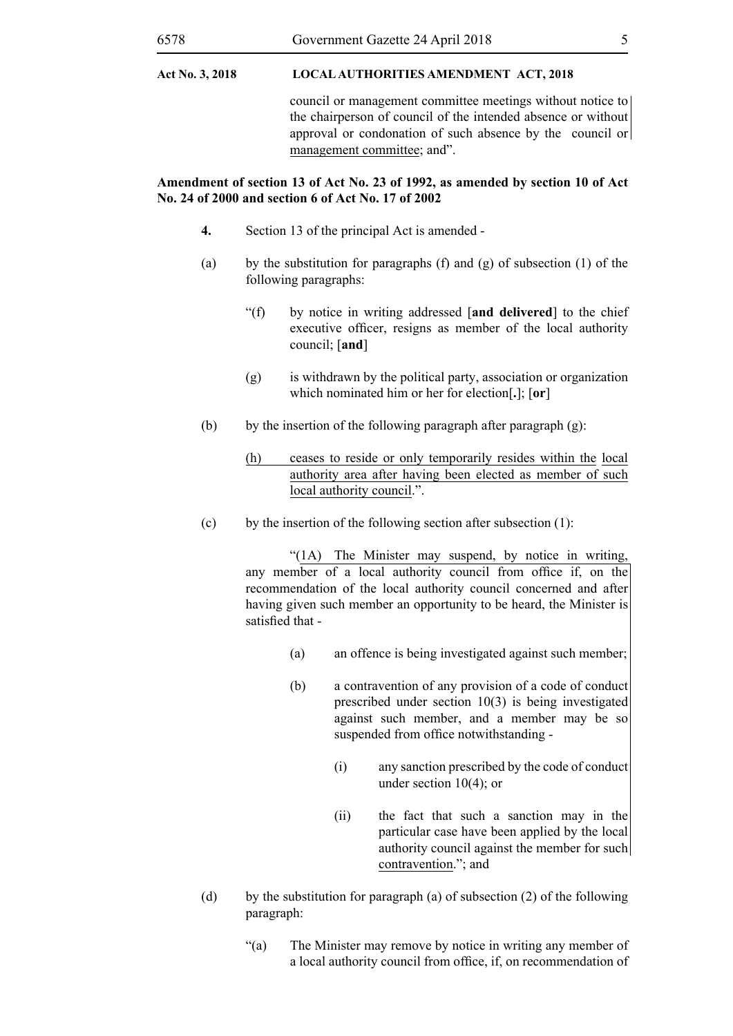council or management committee meetings without notice to the chairperson of council of the intended absence or without approval or condonation of such absence by the council or management committee; and".

#### **Amendment of section 13 of Act No. 23 of 1992, as amended by section 10 of Act No. 24 of 2000 and section 6 of Act No. 17 of 2002**

- **4.** Section 13 of the principal Act is amended -
- (a) by the substitution for paragraphs (f) and (g) of subsection (1) of the following paragraphs:
	- "(f) by notice in writing addressed [**and delivered**] to the chief executive officer, resigns as member of the local authority council; [**and**]
	- $(g)$  is withdrawn by the political party, association or organization which nominated him or her for election[**.**]; [**or**]
- (b) by the insertion of the following paragraph after paragraph  $(g)$ :
	- (h) ceases to reside or only temporarily resides within the local authority area after having been elected as member of such local authority council.".
- (c) by the insertion of the following section after subsection  $(1)$ :

"(1A) The Minister may suspend, by notice in writing, any member of a local authority council from office if, on the recommendation of the local authority council concerned and after having given such member an opportunity to be heard, the Minister is satisfied that -

- (a) an offence is being investigated against such member;
- (b) a contravention of any provision of a code of conduct prescribed under section 10(3) is being investigated against such member, and a member may be so suspended from office notwithstanding -
	- (i) any sanction prescribed by the code of conduct under section 10(4); or
	- (ii) the fact that such a sanction may in the particular case have been applied by the local authority council against the member for such contravention."; and
- (d) by the substitution for paragraph (a) of subsection (2) of the following paragraph:
	- "(a) The Minister may remove by notice in writing any member of a local authority council from office, if, on recommendation of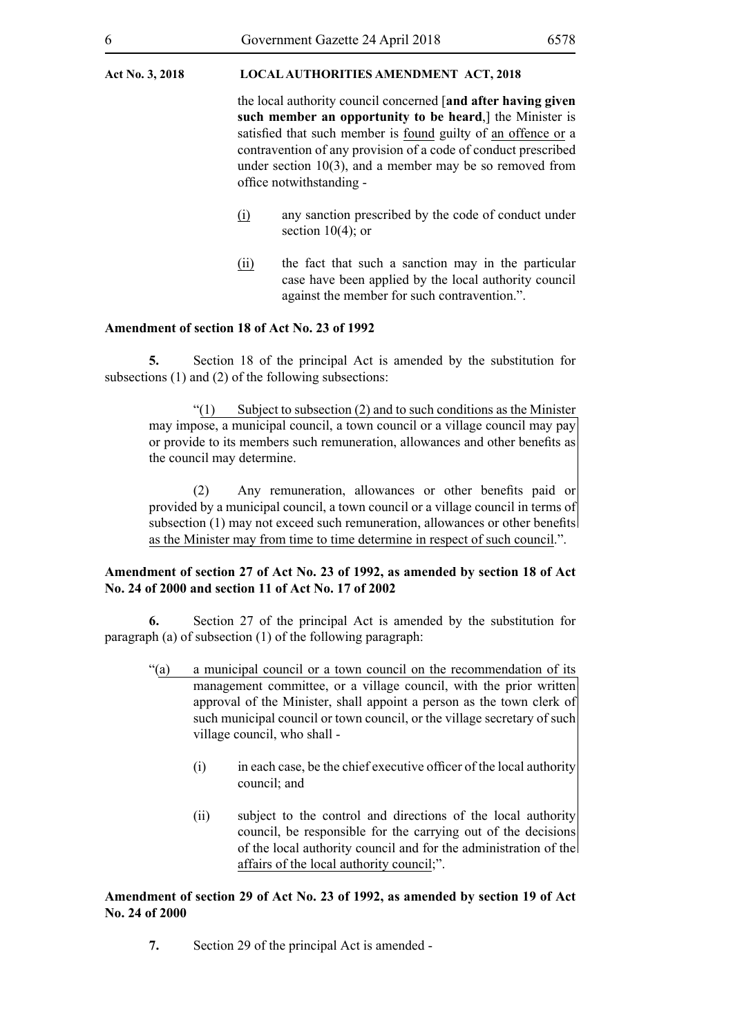the local authority council concerned [**and after having given such member an opportunity to be heard**,] the Minister is satisfied that such member is found guilty of an offence or a contravention of any provision of a code of conduct prescribed under section 10(3), and a member may be so removed from office notwithstanding -

- (i) any sanction prescribed by the code of conduct under section  $10(4)$ ; or
- (ii) the fact that such a sanction may in the particular case have been applied by the local authority council against the member for such contravention.".

#### **Amendment of section 18 of Act No. 23 of 1992**

**5.** Section 18 of the principal Act is amended by the substitution for subsections (1) and (2) of the following subsections:

 $\degree$ (1) Subject to subsection (2) and to such conditions as the Minister may impose, a municipal council, a town council or a village council may pay or provide to its members such remuneration, allowances and other benefits as the council may determine.

(2) Any remuneration, allowances or other benefits paid or provided by a municipal council, a town council or a village council in terms of subsection (1) may not exceed such remuneration, allowances or other benefits as the Minister may from time to time determine in respect of such council.".

#### **Amendment of section 27 of Act No. 23 of 1992, as amended by section 18 of Act No. 24 of 2000 and section 11 of Act No. 17 of 2002**

**6.** Section 27 of the principal Act is amended by the substitution for paragraph (a) of subsection (1) of the following paragraph:

- "(a) a municipal council or a town council on the recommendation of its management committee, or a village council, with the prior written approval of the Minister, shall appoint a person as the town clerk of such municipal council or town council, or the village secretary of such village council, who shall -
	- (i) in each case, be the chief executive officer of the local authority council; and
	- (ii) subject to the control and directions of the local authority council, be responsible for the carrying out of the decisions of the local authority council and for the administration of the affairs of the local authority council;".

#### **Amendment of section 29 of Act No. 23 of 1992, as amended by section 19 of Act No. 24 of 2000**

**7.** Section 29 of the principal Act is amended -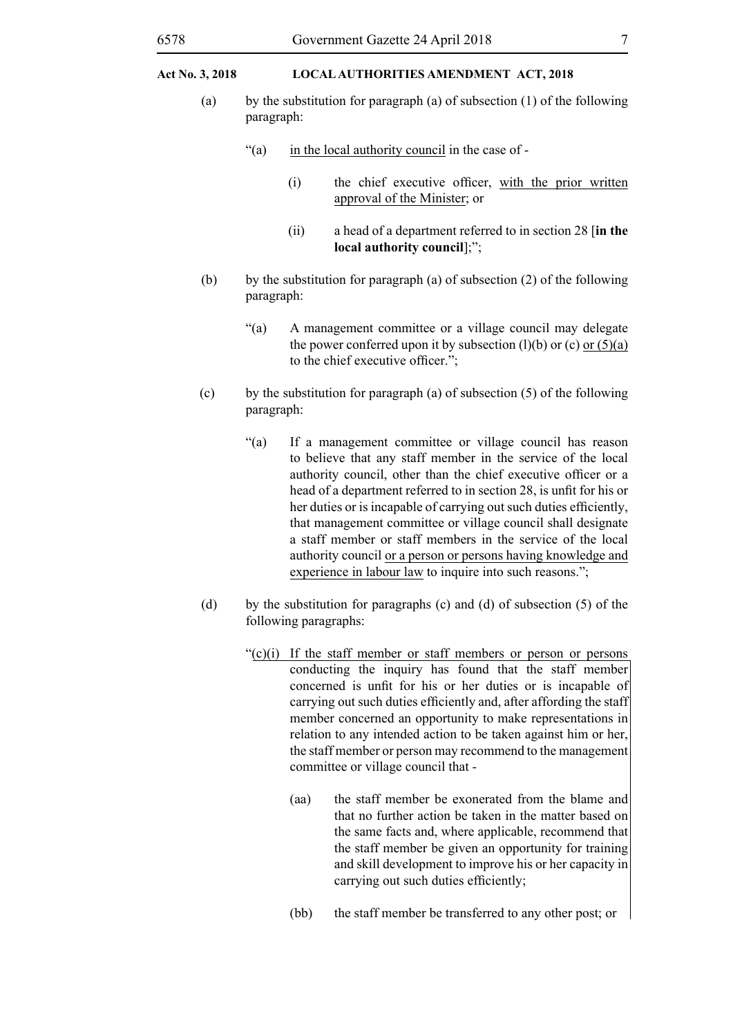- (a) by the substitution for paragraph (a) of subsection (1) of the following paragraph:
	- "(a) in the local authority council in the case of
		- (i) the chief executive officer, with the prior written approval of the Minister; or
		- (ii) a head of a department referred to in section 28 [**in the local authority council**];";
- (b) by the substitution for paragraph (a) of subsection  $(2)$  of the following paragraph:
	- "(a) A management committee or a village council may delegate the power conferred upon it by subsection  $(l)(b)$  or  $(c)$  or  $(5)(a)$ to the chief executive officer.";
- (c) by the substitution for paragraph (a) of subsection  $(5)$  of the following paragraph:
	- "(a) If a management committee or village council has reason to believe that any staff member in the service of the local authority council, other than the chief executive officer or a head of a department referred to in section 28, is unfit for his or her duties or is incapable of carrying out such duties efficiently, that management committee or village council shall designate a staff member or staff members in the service of the local authority council or a person or persons having knowledge and experience in labour law to inquire into such reasons.";
- (d) by the substitution for paragraphs (c) and (d) of subsection (5) of the following paragraphs:
	- " $(c)(i)$  If the staff member or staff members or person or persons conducting the inquiry has found that the staff member concerned is unfit for his or her duties or is incapable of carrying out such duties efficiently and, after affording the staff member concerned an opportunity to make representations in relation to any intended action to be taken against him or her, the staff member or person may recommend to the management committee or village council that -
		- (aa) the staff member be exonerated from the blame and that no further action be taken in the matter based on the same facts and, where applicable, recommend that the staff member be given an opportunity for training and skill development to improve his or her capacity in carrying out such duties efficiently;
		- (bb) the staff member be transferred to any other post; or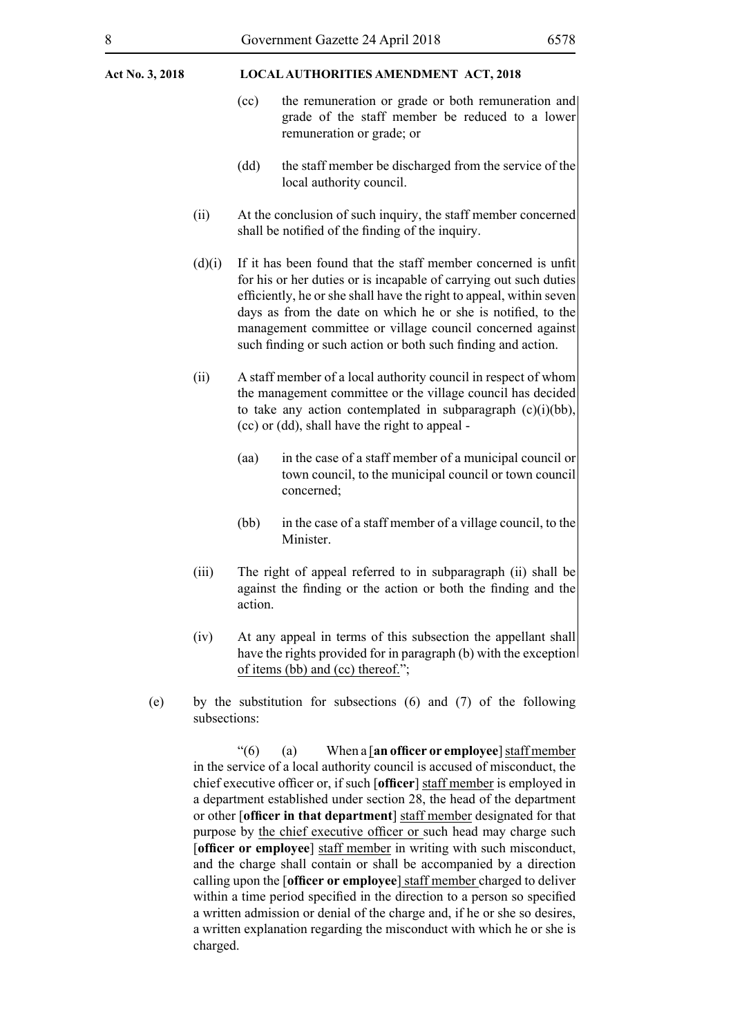- (cc) the remuneration or grade or both remuneration and grade of the staff member be reduced to a lower remuneration or grade; or
- (dd) the staff member be discharged from the service of the local authority council.
- (ii) At the conclusion of such inquiry, the staff member concerned shall be notified of the finding of the inquiry.
- (d)(i) If it has been found that the staff member concerned is unfit for his or her duties or is incapable of carrying out such duties efficiently, he or she shall have the right to appeal, within seven days as from the date on which he or she is notified, to the management committee or village council concerned against such finding or such action or both such finding and action.
- (ii) A staff member of a local authority council in respect of whom the management committee or the village council has decided to take any action contemplated in subparagraph (c)(i)(bb), (cc) or (dd), shall have the right to appeal -
	- (aa) in the case of a staff member of a municipal council or town council, to the municipal council or town council concerned;
	- (bb) in the case of a staff member of a village council, to the **Minister**
- (iii) The right of appeal referred to in subparagraph (ii) shall be against the finding or the action or both the finding and the action.
- (iv) At any appeal in terms of this subsection the appellant shall have the rights provided for in paragraph (b) with the exception of items (bb) and (cc) thereof.";
- (e) by the substitution for subsections (6) and (7) of the following subsections:

"(6) (a) When a [**an officer or employee**] staff member in the service of a local authority council is accused of misconduct, the chief executive officer or, if such [**officer**] staff member is employed in a department established under section 28, the head of the department or other [**officer in that department**] staff member designated for that purpose by the chief executive officer or such head may charge such [**officer or employee**] staff member in writing with such misconduct, and the charge shall contain or shall be accompanied by a direction calling upon the [**officer or employee**] staff member charged to deliver within a time period specified in the direction to a person so specified a written admission or denial of the charge and, if he or she so desires, a written explanation regarding the misconduct with which he or she is charged.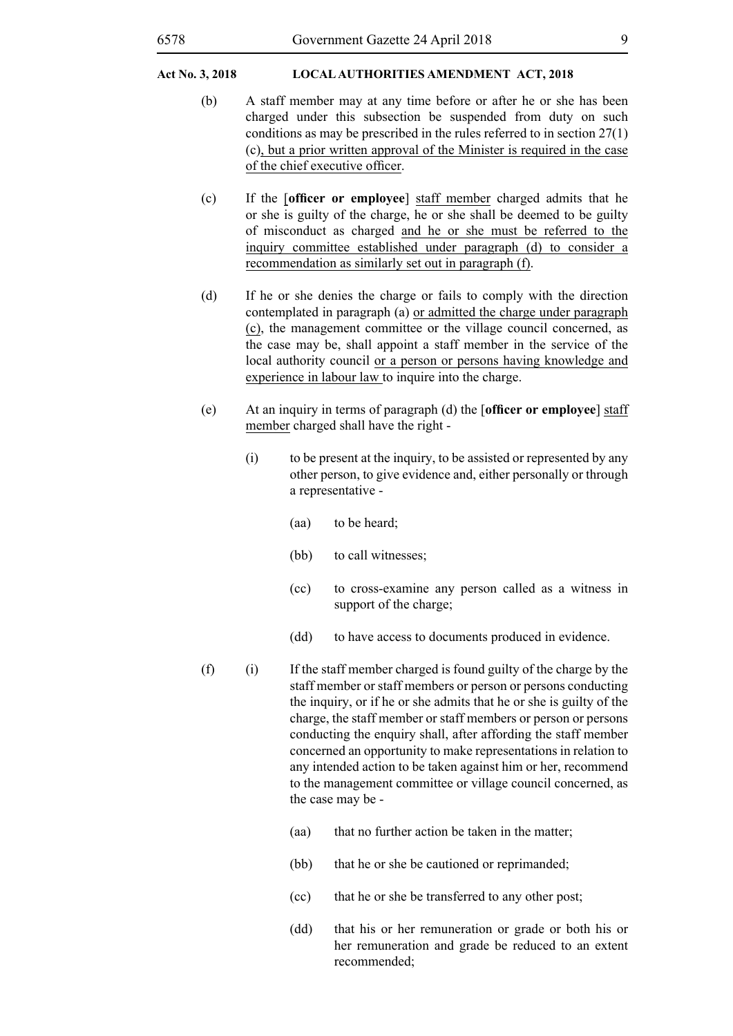- (b) A staff member may at any time before or after he or she has been charged under this subsection be suspended from duty on such conditions as may be prescribed in the rules referred to in section 27(1) (c), but a prior written approval of the Minister is required in the case of the chief executive officer.
- (c) If the [**officer or employee**] staff member charged admits that he or she is guilty of the charge, he or she shall be deemed to be guilty of misconduct as charged and he or she must be referred to the inquiry committee established under paragraph (d) to consider a recommendation as similarly set out in paragraph (f).
- (d) If he or she denies the charge or fails to comply with the direction contemplated in paragraph (a) or admitted the charge under paragraph (c), the management committee or the village council concerned, as the case may be, shall appoint a staff member in the service of the local authority council or a person or persons having knowledge and experience in labour law to inquire into the charge.
- (e) At an inquiry in terms of paragraph (d) the [**officer or employee**] staff member charged shall have the right -
	- (i) to be present at the inquiry, to be assisted or represented by any other person, to give evidence and, either personally or through a representative -
		- (aa) to be heard;
		- (bb) to call witnesses;
		- (cc) to cross-examine any person called as a witness in support of the charge;
		- (dd) to have access to documents produced in evidence.
- $(f)$  (i) If the staff member charged is found guilty of the charge by the staff member or staff members or person or persons conducting the inquiry, or if he or she admits that he or she is guilty of the charge, the staff member or staff members or person or persons conducting the enquiry shall, after affording the staff member concerned an opportunity to make representations in relation to any intended action to be taken against him or her, recommend to the management committee or village council concerned, as the case may be -
	- (aa) that no further action be taken in the matter;
	- (bb) that he or she be cautioned or reprimanded;
	- (cc) that he or she be transferred to any other post;
	- (dd) that his or her remuneration or grade or both his or her remuneration and grade be reduced to an extent recommended;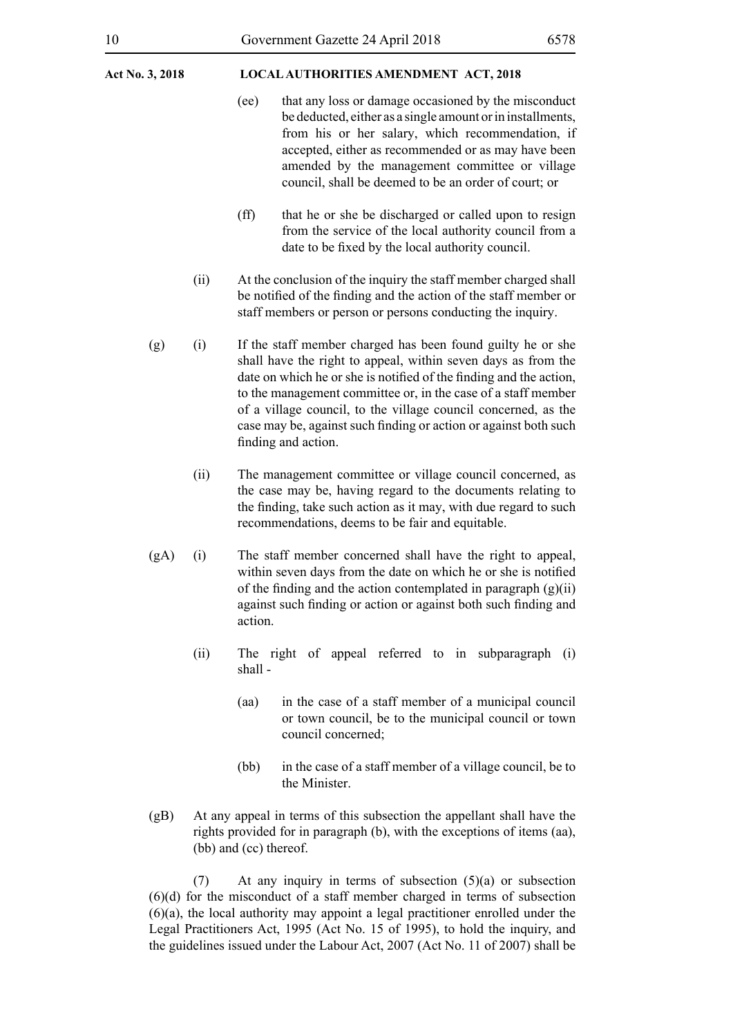- (ee) that any loss or damage occasioned by the misconduct be deducted, either as a single amount or in installments, from his or her salary, which recommendation, if accepted, either as recommended or as may have been amended by the management committee or village council, shall be deemed to be an order of court; or
- (ff) that he or she be discharged or called upon to resign from the service of the local authority council from a date to be fixed by the local authority council.
- (ii) At the conclusion of the inquiry the staff member charged shall be notified of the finding and the action of the staff member or staff members or person or persons conducting the inquiry.
- (g) (i) If the staff member charged has been found guilty he or she shall have the right to appeal, within seven days as from the date on which he or she is notified of the finding and the action, to the management committee or, in the case of a staff member of a village council, to the village council concerned, as the case may be, against such finding or action or against both such finding and action.
	- (ii) The management committee or village council concerned, as the case may be, having regard to the documents relating to the finding, take such action as it may, with due regard to such recommendations, deems to be fair and equitable.
- (gA) (i) The staff member concerned shall have the right to appeal, within seven days from the date on which he or she is notified of the finding and the action contemplated in paragraph  $(g)(ii)$ against such finding or action or against both such finding and action.
	- (ii) The right of appeal referred to in subparagraph (i) shall -
		- (aa) in the case of a staff member of a municipal council or town council, be to the municipal council or town council concerned;
		- (bb) in the case of a staff member of a village council, be to the Minister.
- (gB) At any appeal in terms of this subsection the appellant shall have the rights provided for in paragraph (b), with the exceptions of items (aa), (bb) and (cc) thereof.

(7) At any inquiry in terms of subsection (5)(a) or subsection (6)(d) for the misconduct of a staff member charged in terms of subsection (6)(a), the local authority may appoint a legal practitioner enrolled under the Legal Practitioners Act, 1995 (Act No. 15 of 1995), to hold the inquiry, and the guidelines issued under the Labour Act, 2007 (Act No. 11 of 2007) shall be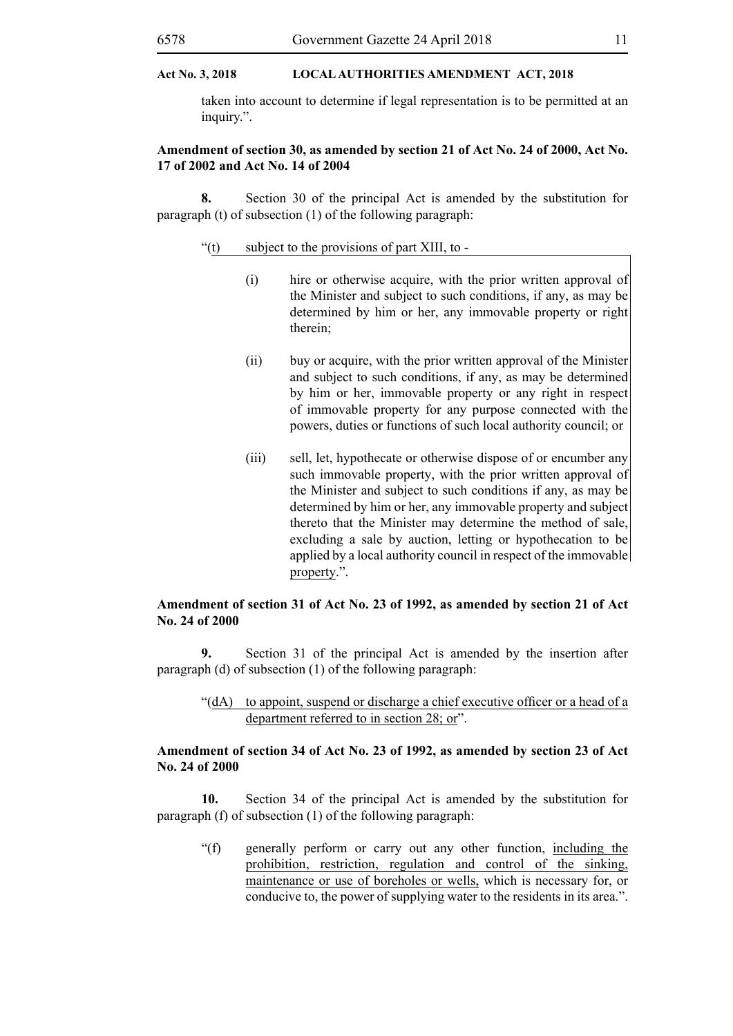taken into account to determine if legal representation is to be permitted at an inquiry.".

#### **Amendment of section 30, as amended by section 21 of Act No. 24 of 2000, Act No. 17 of 2002 and Act No. 14 of 2004**

**8.** Section 30 of the principal Act is amended by the substitution for paragraph (t) of subsection (1) of the following paragraph:

#### "(t) subject to the provisions of part XIII, to -

- (i) hire or otherwise acquire, with the prior written approval of the Minister and subject to such conditions, if any, as may be determined by him or her, any immovable property or right therein;
- (ii) buy or acquire, with the prior written approval of the Minister and subject to such conditions, if any, as may be determined by him or her, immovable property or any right in respect of immovable property for any purpose connected with the powers, duties or functions of such local authority council; or
- (iii) sell, let, hypothecate or otherwise dispose of or encumber any such immovable property, with the prior written approval of the Minister and subject to such conditions if any, as may be determined by him or her, any immovable property and subject thereto that the Minister may determine the method of sale, excluding a sale by auction, letting or hypothecation to be applied by a local authority council in respect of the immovable property.".

#### **Amendment of section 31 of Act No. 23 of 1992, as amended by section 21 of Act No. 24 of 2000**

**9.** Section 31 of the principal Act is amended by the insertion after paragraph (d) of subsection (1) of the following paragraph:

#### "(dA) to appoint, suspend or discharge a chief executive officer or a head of a department referred to in section 28; or".

#### **Amendment of section 34 of Act No. 23 of 1992, as amended by section 23 of Act No. 24 of 2000**

**10.** Section 34 of the principal Act is amended by the substitution for paragraph (f) of subsection (1) of the following paragraph:

"(f) generally perform or carry out any other function, including the prohibition, restriction, regulation and control of the sinking, maintenance or use of boreholes or wells, which is necessary for, or conducive to, the power of supplying water to the residents in its area.".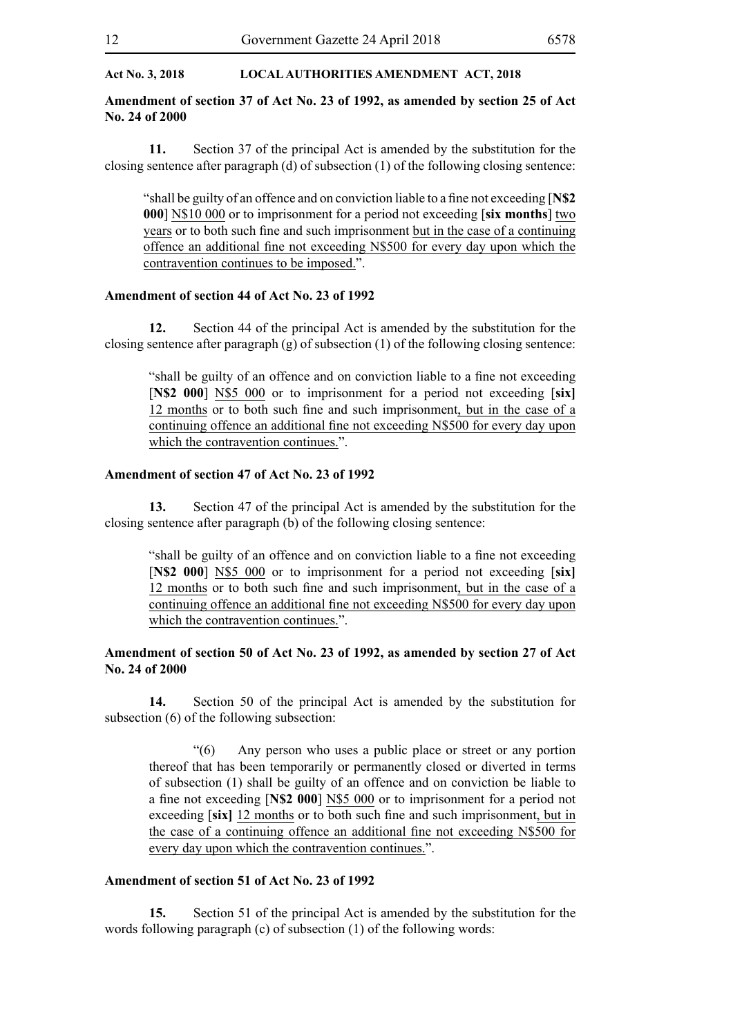#### **Amendment of section 37 of Act No. 23 of 1992, as amended by section 25 of Act No. 24 of 2000**

**11.** Section 37 of the principal Act is amended by the substitution for the closing sentence after paragraph (d) of subsection (1) of the following closing sentence:

"shall be guilty of an offence and on conviction liable to a fine not exceeding [**N\$2 000**] N\$10 000 or to imprisonment for a period not exceeding [**six months**] two years or to both such fine and such imprisonment but in the case of a continuing offence an additional fine not exceeding N\$500 for every day upon which the contravention continues to be imposed.".

#### **Amendment of section 44 of Act No. 23 of 1992**

**12.** Section 44 of the principal Act is amended by the substitution for the closing sentence after paragraph  $(g)$  of subsection (1) of the following closing sentence:

"shall be guilty of an offence and on conviction liable to a fine not exceeding [**N\$2 000**] N\$5 000 or to imprisonment for a period not exceeding [**six]**  12 months or to both such fine and such imprisonment, but in the case of a continuing offence an additional fine not exceeding N\$500 for every day upon which the contravention continues.".

#### **Amendment of section 47 of Act No. 23 of 1992**

**13.** Section 47 of the principal Act is amended by the substitution for the closing sentence after paragraph (b) of the following closing sentence:

"shall be guilty of an offence and on conviction liable to a fine not exceeding [**N\$2 000**] N\$5 000 or to imprisonment for a period not exceeding [**six]**  12 months or to both such fine and such imprisonment, but in the case of a continuing offence an additional fine not exceeding N\$500 for every day upon which the contravention continues.".

#### **Amendment of section 50 of Act No. 23 of 1992, as amended by section 27 of Act No. 24 of 2000**

**14.** Section 50 of the principal Act is amended by the substitution for subsection (6) of the following subsection:

"(6) Any person who uses a public place or street or any portion thereof that has been temporarily or permanently closed or diverted in terms of subsection (1) shall be guilty of an offence and on conviction be liable to a fine not exceeding [**N\$2 000**] N\$5 000 or to imprisonment for a period not exceeding [**six]** 12 months or to both such fine and such imprisonment, but in the case of a continuing offence an additional fine not exceeding N\$500 for every day upon which the contravention continues.".

#### **Amendment of section 51 of Act No. 23 of 1992**

**15.** Section 51 of the principal Act is amended by the substitution for the words following paragraph (c) of subsection (1) of the following words: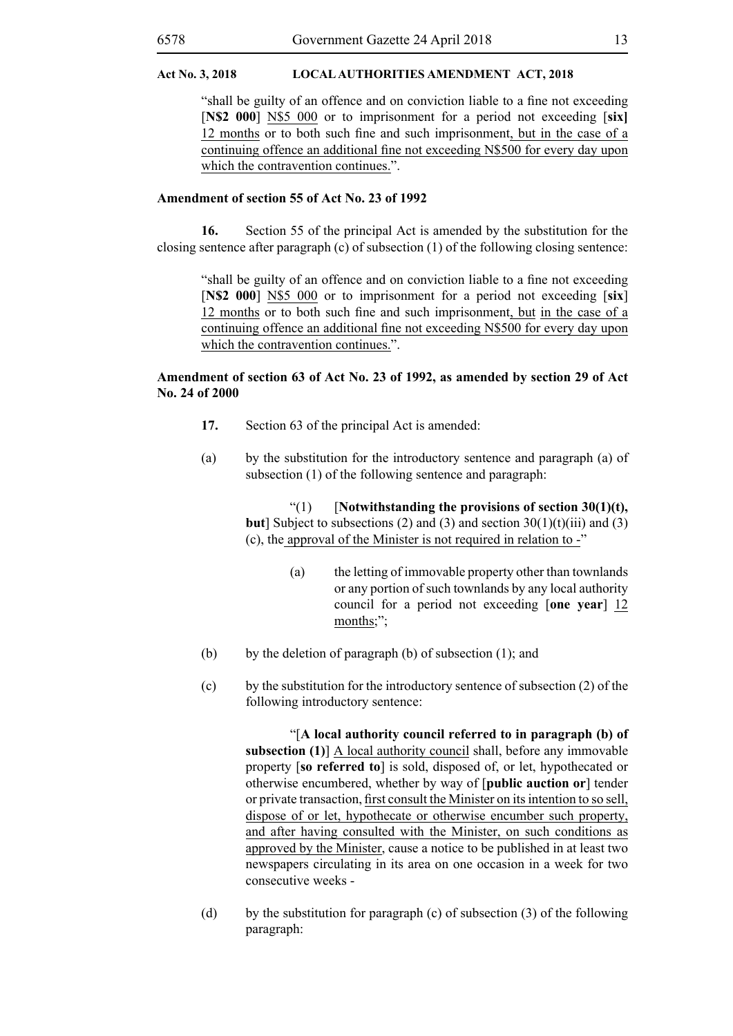"shall be guilty of an offence and on conviction liable to a fine not exceeding [**N\$2 000**] N\$5 000 or to imprisonment for a period not exceeding [**six]**  12 months or to both such fine and such imprisonment, but in the case of a continuing offence an additional fine not exceeding N\$500 for every day upon which the contravention continues.".

#### **Amendment of section 55 of Act No. 23 of 1992**

**16.** Section 55 of the principal Act is amended by the substitution for the closing sentence after paragraph (c) of subsection (1) of the following closing sentence:

"shall be guilty of an offence and on conviction liable to a fine not exceeding [**N\$2 000**] N\$5 000 or to imprisonment for a period not exceeding [**six**] 12 months or to both such fine and such imprisonment, but in the case of a continuing offence an additional fine not exceeding N\$500 for every day upon which the contravention continues.".

#### **Amendment of section 63 of Act No. 23 of 1992, as amended by section 29 of Act No. 24 of 2000**

- **17.** Section 63 of the principal Act is amended:
- (a) by the substitution for the introductory sentence and paragraph (a) of subsection (1) of the following sentence and paragraph:

"(1) [**Notwithstanding the provisions of section 30(1)(t), but**] Subject to subsections (2) and (3) and section  $30(1)(t)(iii)$  and (3) (c), the approval of the Minister is not required in relation to -"

- (a) the letting of immovable property other than townlands or any portion of such townlands by any local authority council for a period not exceeding [**one year**] 12 months;";
- (b) by the deletion of paragraph (b) of subsection  $(1)$ ; and
- (c) by the substitution for the introductory sentence of subsection (2) of the following introductory sentence:

"[**A local authority council referred to in paragraph (b) of subsection (1)**] A local authority council shall, before any immovable property [**so referred to**] is sold, disposed of, or let, hypothecated or otherwise encumbered, whether by way of [**public auction or**] tender or private transaction, first consult the Minister on its intention to so sell, dispose of or let, hypothecate or otherwise encumber such property, and after having consulted with the Minister, on such conditions as approved by the Minister, cause a notice to be published in at least two newspapers circulating in its area on one occasion in a week for two consecutive weeks -

(d) by the substitution for paragraph (c) of subsection (3) of the following paragraph: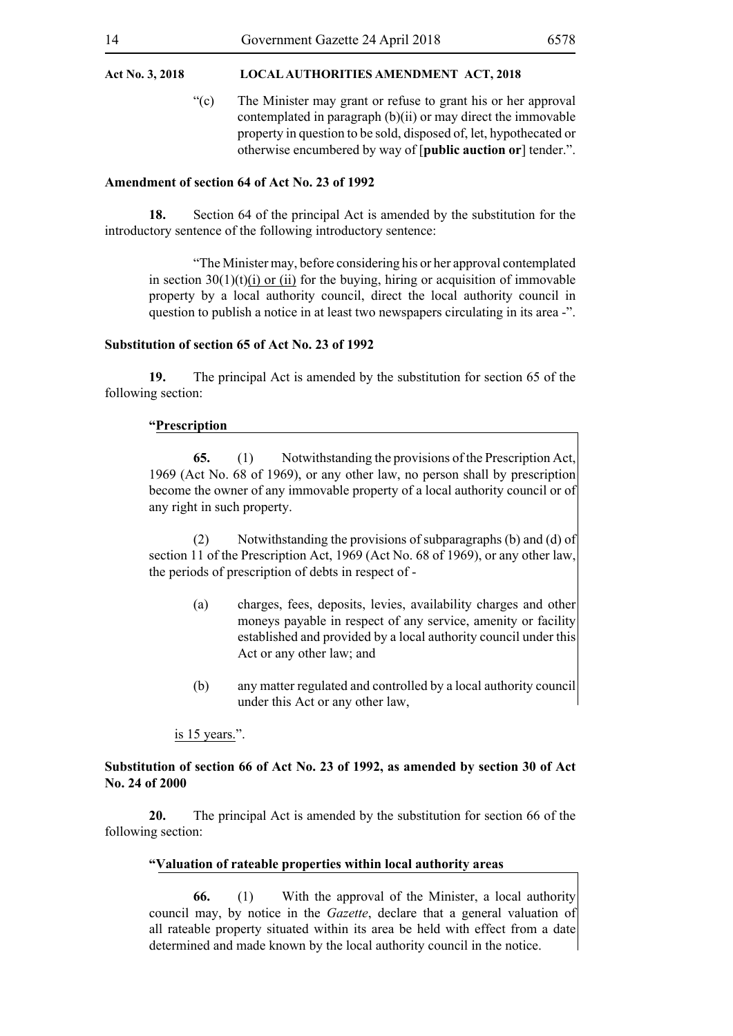"(c) The Minister may grant or refuse to grant his or her approval contemplated in paragraph (b)(ii) or may direct the immovable property in question to be sold, disposed of, let, hypothecated or otherwise encumbered by way of [**public auction or**] tender.".

#### **Amendment of section 64 of Act No. 23 of 1992**

**18.** Section 64 of the principal Act is amended by the substitution for the introductory sentence of the following introductory sentence:

"The Minister may, before considering his or her approval contemplated in section  $30(1)(t)(i)$  or (ii) for the buying, hiring or acquisition of immovable property by a local authority council, direct the local authority council in question to publish a notice in at least two newspapers circulating in its area -".

#### **Substitution of section 65 of Act No. 23 of 1992**

**19.** The principal Act is amended by the substitution for section 65 of the following section:

#### **"Prescription**

**65.** (1) Notwithstanding the provisions of the Prescription Act, 1969 (Act No. 68 of 1969), or any other law, no person shall by prescription become the owner of any immovable property of a local authority council or of any right in such property.

(2) Notwithstanding the provisions of subparagraphs (b) and (d) of section 11 of the Prescription Act, 1969 (Act No. 68 of 1969), or any other law, the periods of prescription of debts in respect of -

- (a) charges, fees, deposits, levies, availability charges and other moneys payable in respect of any service, amenity or facility established and provided by a local authority council under this Act or any other law; and
- (b) any matter regulated and controlled by a local authority council under this Act or any other law,

#### is 15 years.".

#### **Substitution of section 66 of Act No. 23 of 1992, as amended by section 30 of Act No. 24 of 2000**

**20.** The principal Act is amended by the substitution for section 66 of the following section:

#### **"Valuation of rateable properties within local authority areas**

**66.** (1) With the approval of the Minister, a local authority council may, by notice in the *Gazette*, declare that a general valuation of all rateable property situated within its area be held with effect from a date determined and made known by the local authority council in the notice.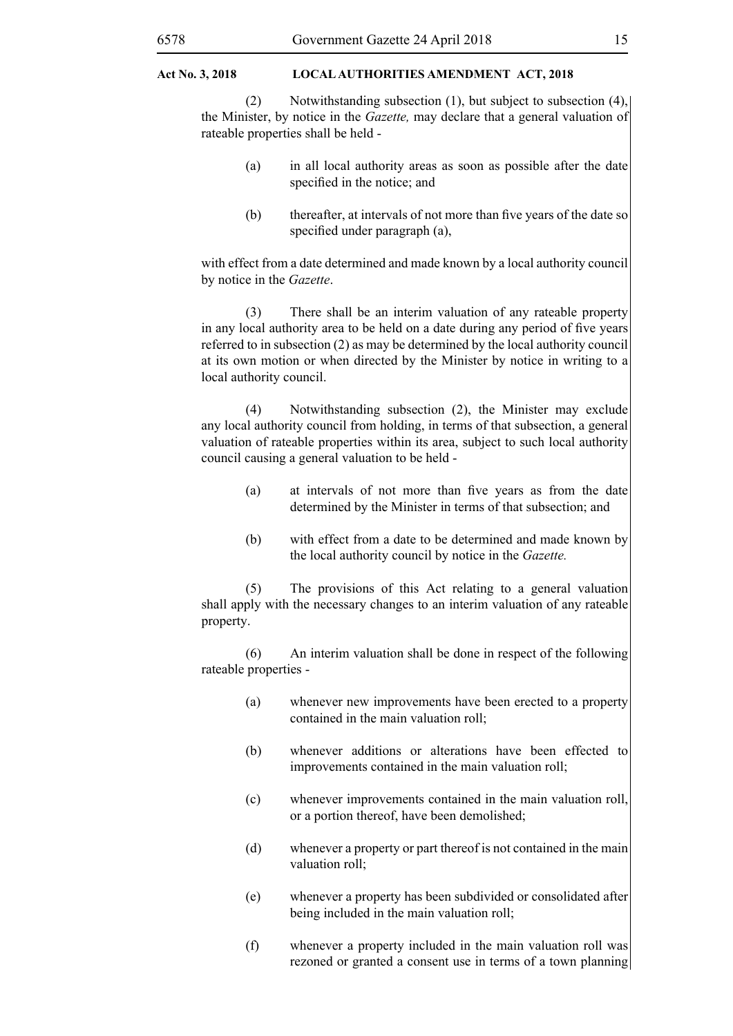(2) Notwithstanding subsection (1), but subject to subsection (4), the Minister, by notice in the *Gazette,* may declare that a general valuation of rateable properties shall be held -

- (a) in all local authority areas as soon as possible after the date specified in the notice; and
- (b) thereafter, at intervals of not more than five years of the date so specified under paragraph (a),

with effect from a date determined and made known by a local authority council by notice in the *Gazette*.

(3) There shall be an interim valuation of any rateable property in any local authority area to be held on a date during any period of five years referred to in subsection (2) as may be determined by the local authority council at its own motion or when directed by the Minister by notice in writing to a local authority council.

(4) Notwithstanding subsection (2), the Minister may exclude any local authority council from holding, in terms of that subsection, a general valuation of rateable properties within its area, subject to such local authority council causing a general valuation to be held -

- (a) at intervals of not more than five years as from the date determined by the Minister in terms of that subsection; and
- (b) with effect from a date to be determined and made known by the local authority council by notice in the *Gazette.*

(5) The provisions of this Act relating to a general valuation shall apply with the necessary changes to an interim valuation of any rateable property.

(6) An interim valuation shall be done in respect of the following rateable properties -

- (a) whenever new improvements have been erected to a property contained in the main valuation roll;
- (b) whenever additions or alterations have been effected to improvements contained in the main valuation roll;
- (c) whenever improvements contained in the main valuation roll, or a portion thereof, have been demolished;
- (d) whenever a property or part thereof is not contained in the main valuation roll;
- (e) whenever a property has been subdivided or consolidated after being included in the main valuation roll;
- (f) whenever a property included in the main valuation roll was rezoned or granted a consent use in terms of a town planning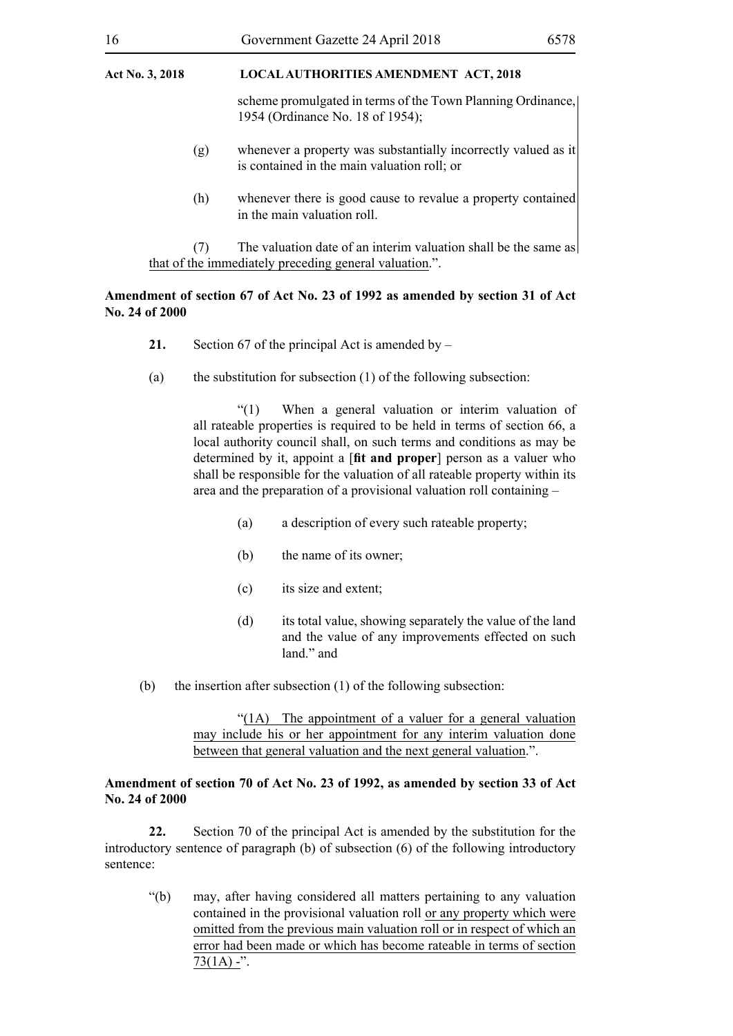scheme promulgated in terms of the Town Planning Ordinance, 1954 (Ordinance No. 18 of 1954);

- (g) whenever a property was substantially incorrectly valued as it is contained in the main valuation roll; or
- (h) whenever there is good cause to revalue a property contained in the main valuation roll.

(7) The valuation date of an interim valuation shall be the same as that of the immediately preceding general valuation.".

#### **Amendment of section 67 of Act No. 23 of 1992 as amended by section 31 of Act No. 24 of 2000**

- **21.** Section 67 of the principal Act is amended by –
- (a) the substitution for subsection  $(1)$  of the following subsection:

"(1) When a general valuation or interim valuation of all rateable properties is required to be held in terms of section 66, a local authority council shall, on such terms and conditions as may be determined by it, appoint a [**fit and proper**] person as a valuer who shall be responsible for the valuation of all rateable property within its area and the preparation of a provisional valuation roll containing –

- (a) a description of every such rateable property;
- (b) the name of its owner;
- (c) its size and extent;
- (d) its total value, showing separately the value of the land and the value of any improvements effected on such land." and
- (b) the insertion after subsection (1) of the following subsection:

"(1A) The appointment of a valuer for a general valuation may include his or her appointment for any interim valuation done between that general valuation and the next general valuation.".

#### **Amendment of section 70 of Act No. 23 of 1992, as amended by section 33 of Act No. 24 of 2000**

**22.** Section 70 of the principal Act is amended by the substitution for the introductory sentence of paragraph (b) of subsection (6) of the following introductory sentence:

"(b) may, after having considered all matters pertaining to any valuation contained in the provisional valuation roll or any property which were omitted from the previous main valuation roll or in respect of which an error had been made or which has become rateable in terms of section  $73(1A) -$ ".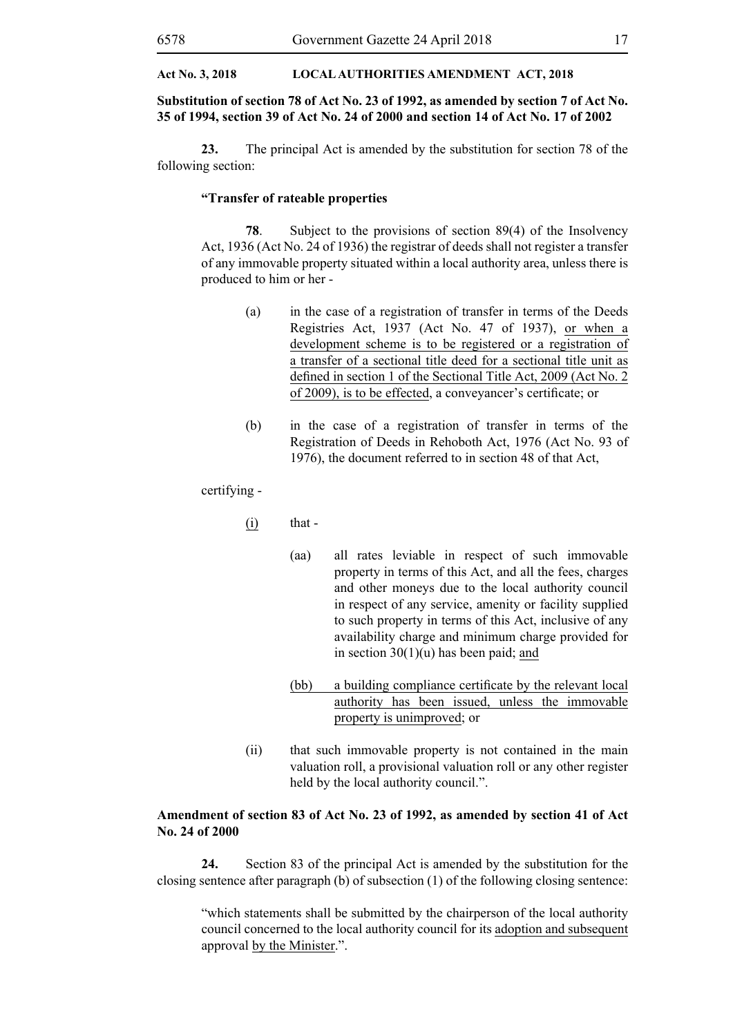#### **Substitution of section 78 of Act No. 23 of 1992, as amended by section 7 of Act No. 35 of 1994, section 39 of Act No. 24 of 2000 and section 14 of Act No. 17 of 2002**

**23.** The principal Act is amended by the substitution for section 78 of the following section:

#### **"Transfer of rateable properties**

**78**. Subject to the provisions of section 89(4) of the Insolvency Act, 1936 (Act No. 24 of 1936) the registrar of deeds shall not register a transfer of any immovable property situated within a local authority area, unless there is produced to him or her -

- (a) in the case of a registration of transfer in terms of the Deeds Registries Act, 1937 (Act No. 47 of 1937), or when a development scheme is to be registered or a registration of a transfer of a sectional title deed for a sectional title unit as defined in section 1 of the Sectional Title Act, 2009 (Act No. 2 of 2009), is to be effected, a conveyancer's certificate; or
- (b) in the case of a registration of transfer in terms of the Registration of Deeds in Rehoboth Act, 1976 (Act No. 93 of 1976), the document referred to in section 48 of that Act,

certifying -

- $(i)$  that -
	- (aa) all rates leviable in respect of such immovable property in terms of this Act, and all the fees, charges and other moneys due to the local authority council in respect of any service, amenity or facility supplied to such property in terms of this Act, inclusive of any availability charge and minimum charge provided for in section  $30(1)(u)$  has been paid; and
	- (bb) a building compliance certificate by the relevant local authority has been issued, unless the immovable property is unimproved; or
- (ii) that such immovable property is not contained in the main valuation roll, a provisional valuation roll or any other register held by the local authority council.".

#### **Amendment of section 83 of Act No. 23 of 1992, as amended by section 41 of Act No. 24 of 2000**

**24.** Section 83 of the principal Act is amended by the substitution for the closing sentence after paragraph (b) of subsection (1) of the following closing sentence:

"which statements shall be submitted by the chairperson of the local authority council concerned to the local authority council for its adoption and subsequent approval by the Minister.".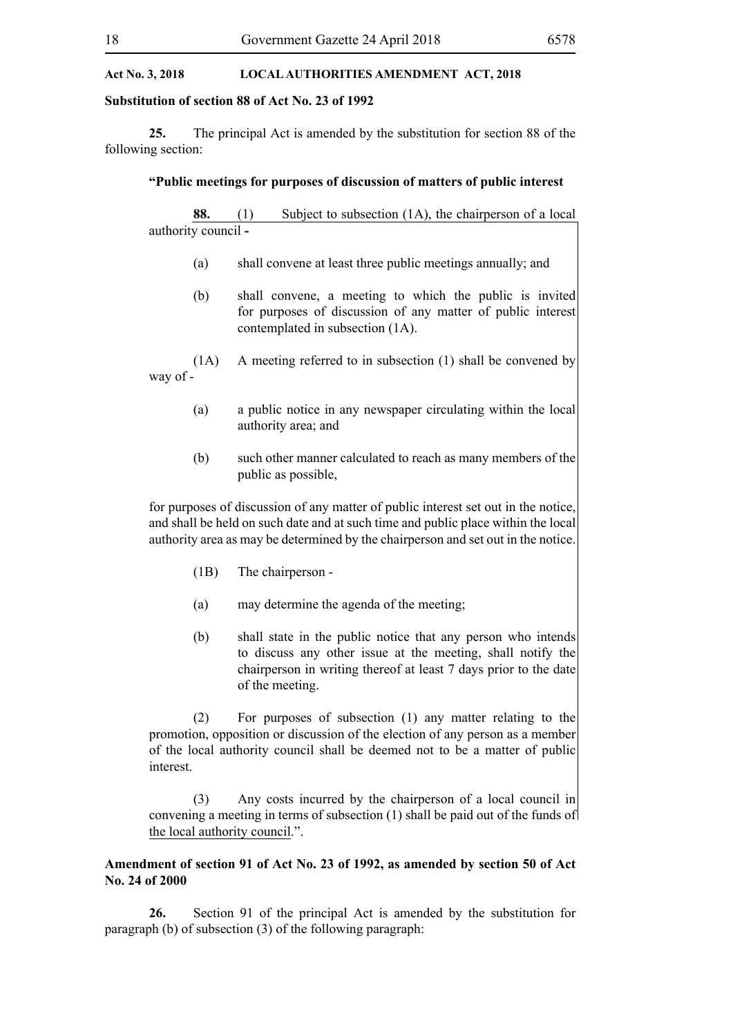#### **Substitution of section 88 of Act No. 23 of 1992**

**25.** The principal Act is amended by the substitution for section 88 of the following section:

#### **"Public meetings for purposes of discussion of matters of public interest**

**88.** (1) Subject to subsection (1A), the chairperson of a local authority council **-**

- (a) shall convene at least three public meetings annually; and
- (b) shall convene, a meeting to which the public is invited for purposes of discussion of any matter of public interest contemplated in subsection (1A).
- (1A) A meeting referred to in subsection (1) shall be convened by way of -
	- (a) a public notice in any newspaper circulating within the local authority area; and
	- (b) such other manner calculated to reach as many members of the public as possible,

for purposes of discussion of any matter of public interest set out in the notice, and shall be held on such date and at such time and public place within the local authority area as may be determined by the chairperson and set out in the notice.

- (1B) The chairperson -
- (a) may determine the agenda of the meeting;
- (b) shall state in the public notice that any person who intends to discuss any other issue at the meeting, shall notify the chairperson in writing thereof at least 7 days prior to the date of the meeting.

(2) For purposes of subsection (1) any matter relating to the promotion, opposition or discussion of the election of any person as a member of the local authority council shall be deemed not to be a matter of public interest.

(3) Any costs incurred by the chairperson of a local council in convening a meeting in terms of subsection (1) shall be paid out of the funds of the local authority council.".

#### **Amendment of section 91 of Act No. 23 of 1992, as amended by section 50 of Act No. 24 of 2000**

**26.** Section 91 of the principal Act is amended by the substitution for paragraph (b) of subsection (3) of the following paragraph: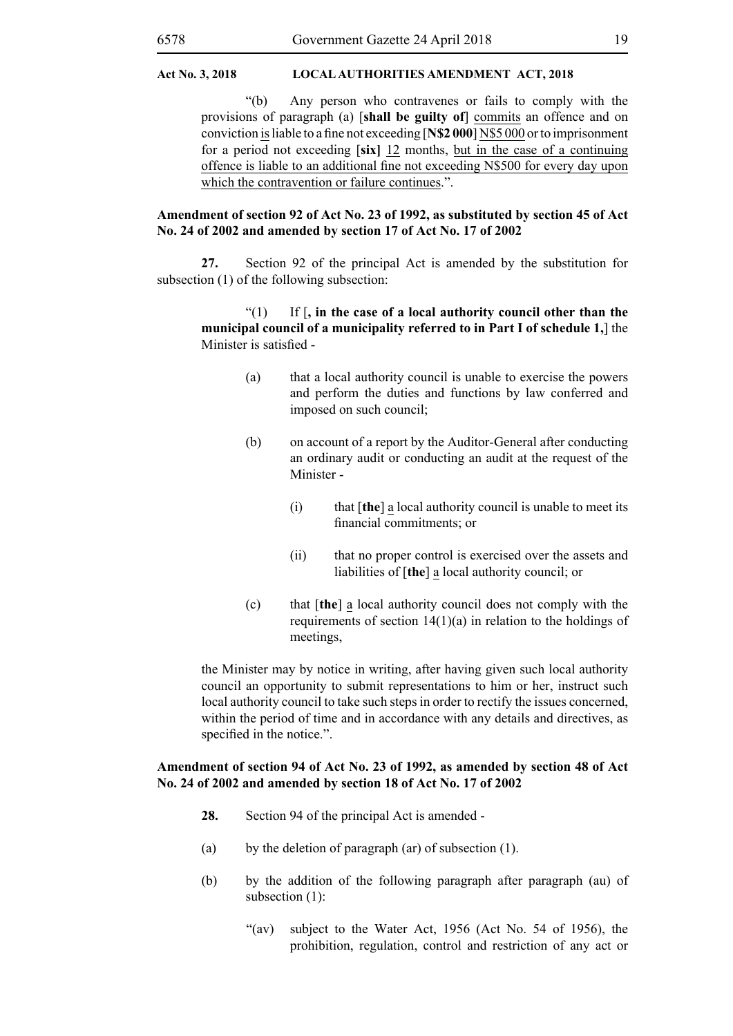"(b) Any person who contravenes or fails to comply with the provisions of paragraph (a) [**shall be guilty of**] commits an offence and on conviction is liable to a fine not exceeding [**N\$2 000**] N\$5 000 or to imprisonment for a period not exceeding [**six]** 12 months, but in the case of a continuing offence is liable to an additional fine not exceeding N\$500 for every day upon which the contravention or failure continues.".

#### **Amendment of section 92 of Act No. 23 of 1992, as substituted by section 45 of Act No. 24 of 2002 and amended by section 17 of Act No. 17 of 2002**

**27.** Section 92 of the principal Act is amended by the substitution for subsection (1) of the following subsection:

#### "(1) If [**, in the case of a local authority council other than the municipal council of a municipality referred to in Part I of schedule 1,**] the Minister is satisfied -

- (a) that a local authority council is unable to exercise the powers and perform the duties and functions by law conferred and imposed on such council;
- (b) on account of a report by the Auditor-General after conducting an ordinary audit or conducting an audit at the request of the Minister -
	- (i) that [**the**] a local authority council is unable to meet its financial commitments; or
	- (ii) that no proper control is exercised over the assets and liabilities of [**the**] a local authority council; or
- (c) that [**the**] a local authority council does not comply with the requirements of section  $14(1)(a)$  in relation to the holdings of meetings,

the Minister may by notice in writing, after having given such local authority council an opportunity to submit representations to him or her, instruct such local authority council to take such steps in order to rectify the issues concerned, within the period of time and in accordance with any details and directives, as specified in the notice.".

#### **Amendment of section 94 of Act No. 23 of 1992, as amended by section 48 of Act No. 24 of 2002 and amended by section 18 of Act No. 17 of 2002**

- **28.** Section 94 of the principal Act is amended -
- (a) by the deletion of paragraph (ar) of subsection (1).
- (b) by the addition of the following paragraph after paragraph (au) of subsection (1):
	- " $(av)$  subject to the Water Act, 1956 (Act No. 54 of 1956), the prohibition, regulation, control and restriction of any act or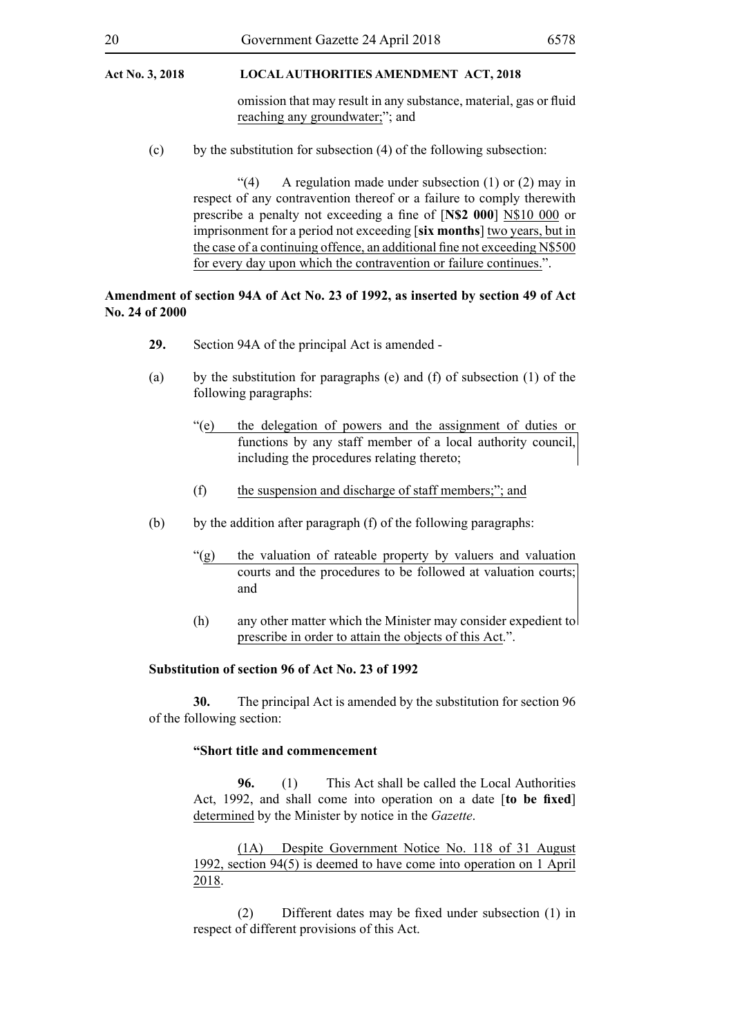omission that may result in any substance, material, gas or fluid reaching any groundwater;"; and

(c) by the substitution for subsection (4) of the following subsection:

"(4) A regulation made under subsection (1) or (2) may in respect of any contravention thereof or a failure to comply therewith prescribe a penalty not exceeding a fine of [**N\$2 000**] N\$10 000 or imprisonment for a period not exceeding [**six months**] two years, but in the case of a continuing offence, an additional fine not exceeding N\$500 for every day upon which the contravention or failure continues.".

#### **Amendment of section 94A of Act No. 23 of 1992, as inserted by section 49 of Act No. 24 of 2000**

- **29.** Section 94A of the principal Act is amended -
- (a) by the substitution for paragraphs (e) and (f) of subsection (1) of the following paragraphs:
	- "(e) the delegation of powers and the assignment of duties or functions by any staff member of a local authority council, including the procedures relating thereto;
	- (f) the suspension and discharge of staff members;"; and
- (b) by the addition after paragraph (f) of the following paragraphs:
	- "(g) the valuation of rateable property by valuers and valuation courts and the procedures to be followed at valuation courts; and
	- (h) any other matter which the Minister may consider expedient to prescribe in order to attain the objects of this Act.".

#### **Substitution of section 96 of Act No. 23 of 1992**

**30.** The principal Act is amended by the substitution for section 96 of the following section:

#### **"Short title and commencement**

**96.** (1) This Act shall be called the Local Authorities Act, 1992, and shall come into operation on a date [**to be fixed**] determined by the Minister by notice in the *Gazette*.

(1A) Despite Government Notice No. 118 of 31 August 1992, section 94(5) is deemed to have come into operation on 1 April 2018.

(2) Different dates may be fixed under subsection (1) in respect of different provisions of this Act.